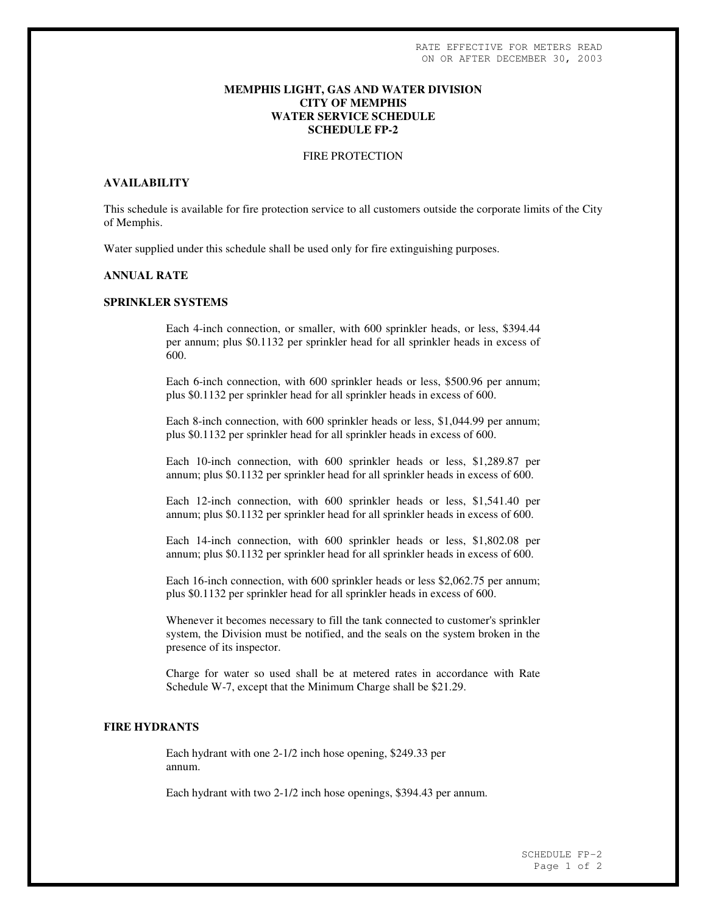# **MEMPHIS LIGHT, GAS AND WATER DIVISION CITY OF MEMPHIS WATER SERVICE SCHEDULE SCHEDULE FP-2**

# FIRE PROTECTION

# **AVAILABILITY**

This schedule is available for fire protection service to all customers outside the corporate limits of the City of Memphis.

Water supplied under this schedule shall be used only for fire extinguishing purposes.

# **ANNUAL RATE**

# **SPRINKLER SYSTEMS**

Each 4-inch connection, or smaller, with 600 sprinkler heads, or less, \$394.44 per annum; plus \$0.1132 per sprinkler head for all sprinkler heads in excess of 600.

Each 6-inch connection, with 600 sprinkler heads or less, \$500.96 per annum; plus \$0.1132 per sprinkler head for all sprinkler heads in excess of 600.

Each 8-inch connection, with 600 sprinkler heads or less, \$1,044.99 per annum; plus \$0.1132 per sprinkler head for all sprinkler heads in excess of 600.

Each 10-inch connection, with 600 sprinkler heads or less, \$1,289.87 per annum; plus \$0.1132 per sprinkler head for all sprinkler heads in excess of 600.

Each 12-inch connection, with 600 sprinkler heads or less, \$1,541.40 per annum; plus \$0.1132 per sprinkler head for all sprinkler heads in excess of 600.

Each 14-inch connection, with 600 sprinkler heads or less, \$1,802.08 per annum; plus \$0.1132 per sprinkler head for all sprinkler heads in excess of 600.

Each 16-inch connection, with 600 sprinkler heads or less \$2,062.75 per annum; plus \$0.1132 per sprinkler head for all sprinkler heads in excess of 600.

Whenever it becomes necessary to fill the tank connected to customer's sprinkler system, the Division must be notified, and the seals on the system broken in the presence of its inspector.

Charge for water so used shall be at metered rates in accordance with Rate Schedule W-7, except that the Minimum Charge shall be \$21.29.

### **FIRE HYDRANTS**

Each hydrant with one 2-1/2 inch hose opening, \$249.33 per annum.

Each hydrant with two 2-1/2 inch hose openings, \$394.43 per annum.